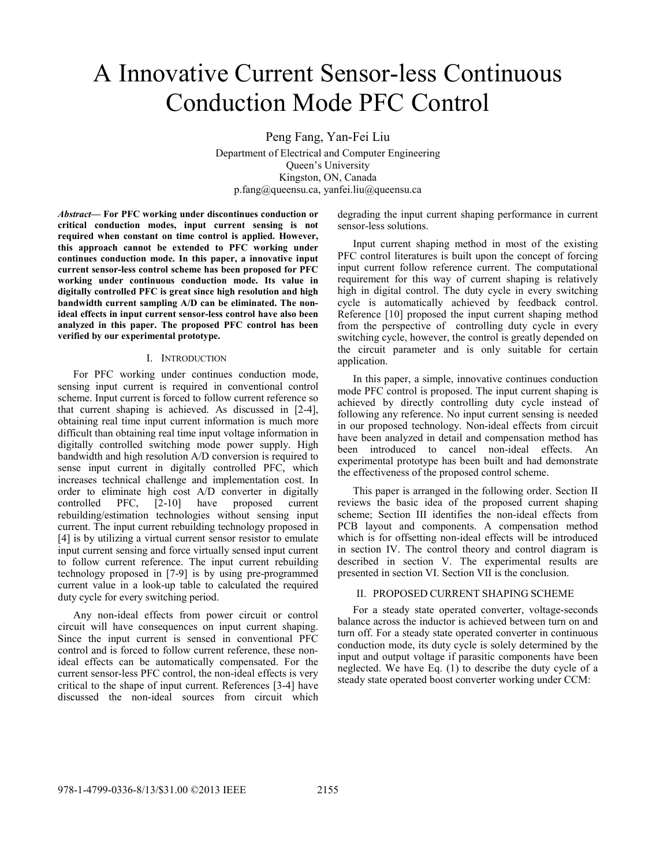# A Innovative Current Sensor-less Continuous Conduction Mode PFC Control

Peng Fang, Yan-Fei Liu Department of Electrical and Computer Engineering Queen's University Kingston, ON, Canada p.fang@queensu.ca, yanfei.liu@queensu.ca

*Abstract***— For PFC working under discontinues conduction or critical conduction modes, input current sensing is not required when constant on time control is applied. However, this approach cannot be extended to PFC working under continues conduction mode. In this paper, a innovative input current sensor-less control scheme has been proposed for PFC working under continuous conduction mode. Its value in digitally controlled PFC is great since high resolution and high bandwidth current sampling A/D can be eliminated. The nonideal effects in input current sensor-less control have also been analyzed in this paper. The proposed PFC control has been verified by our experimental prototype.** 

#### I. INTRODUCTION

For PFC working under continues conduction mode, sensing input current is required in conventional control scheme. Input current is forced to follow current reference so that current shaping is achieved. As discussed in [2-4], obtaining real time input current information is much more difficult than obtaining real time input voltage information in digitally controlled switching mode power supply. High bandwidth and high resolution A/D conversion is required to sense input current in digitally controlled PFC, which increases technical challenge and implementation cost. In order to eliminate high cost A/D converter in digitally controlled PFC, [2-10] have proposed current rebuilding/estimation technologies without sensing input current. The input current rebuilding technology proposed in [4] is by utilizing a virtual current sensor resistor to emulate input current sensing and force virtually sensed input current to follow current reference. The input current rebuilding technology proposed in [7-9] is by using pre-programmed current value in a look-up table to calculated the required duty cycle for every switching period.

Any non-ideal effects from power circuit or control circuit will have consequences on input current shaping. Since the input current is sensed in conventional PFC control and is forced to follow current reference, these nonideal effects can be automatically compensated. For the current sensor-less PFC control, the non-ideal effects is very critical to the shape of input current. References [3-4] have discussed the non-ideal sources from circuit which

degrading the input current shaping performance in current sensor-less solutions.

Input current shaping method in most of the existing PFC control literatures is built upon the concept of forcing input current follow reference current. The computational requirement for this way of current shaping is relatively high in digital control. The duty cycle in every switching cycle is automatically achieved by feedback control. Reference [10] proposed the input current shaping method from the perspective of controlling duty cycle in every switching cycle, however, the control is greatly depended on the circuit parameter and is only suitable for certain application.

In this paper, a simple, innovative continues conduction mode PFC control is proposed. The input current shaping is achieved by directly controlling duty cycle instead of following any reference. No input current sensing is needed in our proposed technology. Non-ideal effects from circuit have been analyzed in detail and compensation method has been introduced to cancel non-ideal effects. An experimental prototype has been built and had demonstrate the effectiveness of the proposed control scheme.

This paper is arranged in the following order. Section II reviews the basic idea of the proposed current shaping scheme; Section III identifies the non-ideal effects from PCB layout and components. A compensation method which is for offsetting non-ideal effects will be introduced in section IV. The control theory and control diagram is described in section V. The experimental results are presented in section VI. Section VII is the conclusion.

#### II. PROPOSED CURRENT SHAPING SCHEME

For a steady state operated converter, voltage-seconds balance across the inductor is achieved between turn on and turn off. For a steady state operated converter in continuous conduction mode, its duty cycle is solely determined by the input and output voltage if parasitic components have been neglected. We have Eq. (1) to describe the duty cycle of a steady state operated boost converter working under CCM: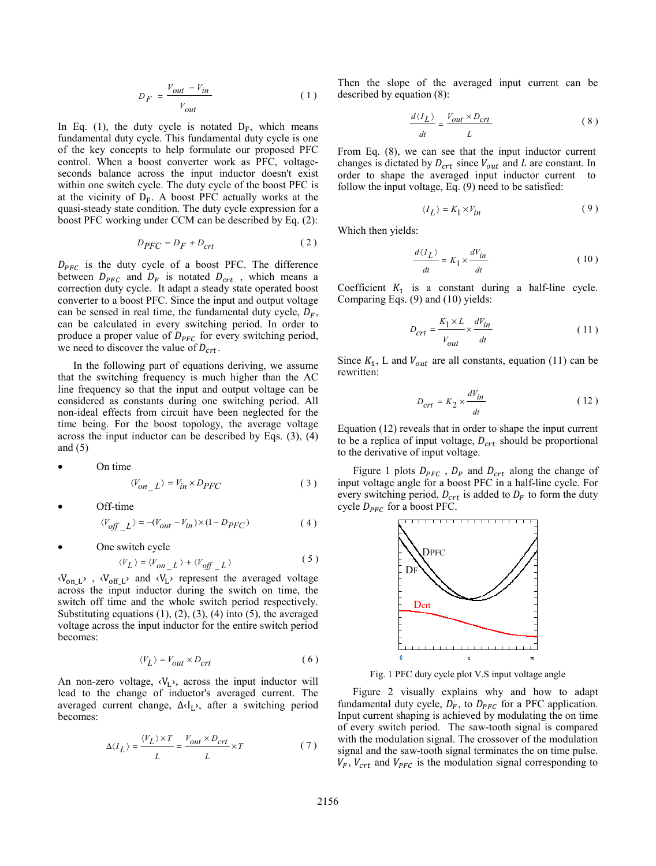$$
D_F = \frac{V_{out} - V_{in}}{V_{out}}
$$
 (1)

In Eq. (1), the duty cycle is notated  $D_F$ , which means fundamental duty cycle. This fundamental duty cycle is one of the key concepts to help formulate our proposed PFC control. When a boost converter work as PFC, voltageseconds balance across the input inductor doesn't exist within one switch cycle. The duty cycle of the boost PFC is at the vicinity of  $D_F$ . A boost PFC actually works at the quasi-steady state condition. The duty cycle expression for a boost PFC working under CCM can be described by Eq. (2):

$$
D_{PFC} = D_F + D_{crt} \tag{2}
$$

 $D_{PFC}$  is the duty cycle of a boost PFC. The difference between  $D_{PFC}$  and  $D_F$  is notated  $D_{crt}$ , which means a correction duty cycle. It adapt a steady state operated boost converter to a boost PFC. Since the input and output voltage can be sensed in real time, the fundamental duty cycle,  $D_F$ , can be calculated in every switching period. In order to produce a proper value of  $D_{PFC}$  for every switching period, we need to discover the value of  $D_{\text{crt}}$ .

In the following part of equations deriving, we assume that the switching frequency is much higher than the AC line frequency so that the input and output voltage can be considered as constants during one switching period. All non-ideal effects from circuit have been neglected for the time being. For the boost topology, the average voltage across the input inductor can be described by Eqs. (3), (4) and  $(5)$ 

$$
\bullet \qquad \qquad \text{On time}
$$

$$
\langle V_{on} \rangle = V_{in} \times D_{PFC}
$$
 (3)

Off-time

$$
\langle V_{off} \_L \rangle = -(V_{out} - V_{in}) \times (1 - D_{PFC}) \tag{4}
$$

One switch cycle

$$
\langle V_L \rangle = \langle V_{on\_L} \rangle + \langle V_{off\_L} \rangle \tag{5}
$$

 $\langle V_{on L} \rangle$ ,  $\langle V_{off L} \rangle$  and  $\langle V_{L} \rangle$  represent the averaged voltage across the input inductor during the switch on time, the switch off time and the whole switch period respectively. Substituting equations  $(1)$ ,  $(2)$ ,  $(3)$ ,  $(4)$  into  $(5)$ , the averaged voltage across the input inductor for the entire switch period becomes:

$$
\langle V_L \rangle = V_{out} \times D_{crt} \tag{6}
$$

An non-zero voltage,  $\langle V_L \rangle$ , across the input inductor will lead to the change of inductor's averaged current. The averaged current change, ∆‹IL›, after a switching period becomes:

$$
\Delta \langle I_L \rangle = \frac{\langle V_L \rangle \times T}{L} = \frac{V_{out} \times D_{crt}}{L} \times T \tag{7}
$$

Then the slope of the averaged input current can be described by equation (8):

$$
\frac{d\langle I_L \rangle}{dt} = \frac{V_{out} \times D_{crt}}{L} \tag{8}
$$

From Eq. (8), we can see that the input inductor current changes is dictated by  $D_{crt}$  since  $V_{out}$  and  $L$  are constant. In order to shape the averaged input inductor current to follow the input voltage, Eq. (9) need to be satisfied:

$$
\langle I_L \rangle = K_1 \times V_{in} \tag{9}
$$

Which then yields:

$$
\frac{d\langle I_L \rangle}{dt} = K_1 \times \frac{dV_{in}}{dt}
$$
 (10)

Coefficient  $K_1$  is a constant during a half-line cycle. Comparing Eqs. (9) and (10) yields:

$$
D_{crt} = \frac{K_1 \times L}{V_{out}} \times \frac{dV_{in}}{dt}
$$
 (11)

Since  $K_1$ , L and  $V_{out}$  are all constants, equation (11) can be rewritten:

$$
D_{crt} = K_2 \times \frac{dV_{in}}{dt}
$$
 (12)

Equation (12) reveals that in order to shape the input current to be a replica of input voltage,  $D_{crt}$  should be proportional to the derivative of input voltage.

Figure 1 plots  $D_{PFC}$ ,  $D_P$  and  $D_{crt}$  along the change of input voltage angle for a boost PFC in a half-line cycle. For every switching period,  $D_{crt}$  is added to  $D_F$  to form the duty cycle  $D_{PFC}$  for a boost PFC.



Fig. 1 PFC duty cycle plot V.S input voltage angle

Figure 2 visually explains why and how to adapt fundamental duty cycle,  $D_F$ , to  $D_{PFC}$  for a PFC application. Input current shaping is achieved by modulating the on time of every switch period. The saw-tooth signal is compared with the modulation signal. The crossover of the modulation signal and the saw-tooth signal terminates the on time pulse.  $V_F$ ,  $V_{crt}$  and  $V_{PFC}$  is the modulation signal corresponding to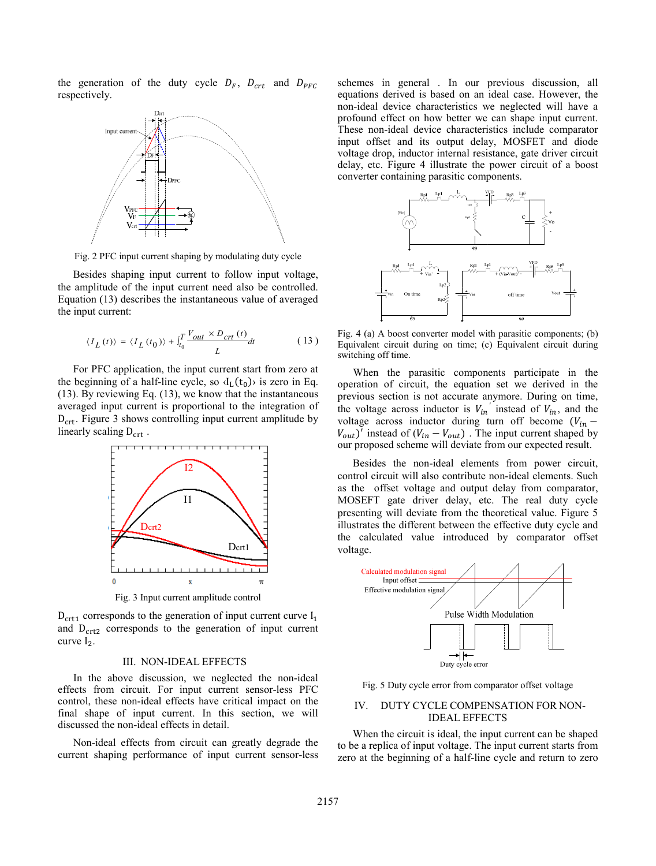the generation of the duty cycle  $D_F$ ,  $D_{crt}$  and  $D_{PFC}$ respectively.



Fig. 2 PFC input current shaping by modulating duty cycle

Besides shaping input current to follow input voltage, the amplitude of the input current need also be controlled. Equation (13) describes the instantaneous value of averaged the input current:

$$
\langle I_L(t) \rangle = \langle I_L(t_0) \rangle + \int_{t_0}^T \frac{V_{out} \times D_{crt}(t)}{L} dt \tag{13}
$$

For PFC application, the input current start from zero at the beginning of a half-line cycle, so  $\langle I_L(t_0)\rangle$  is zero in Eq. (13). By reviewing Eq. (13), we know that the instantaneous averaged input current is proportional to the integration of  $D_{\text{crt}}$ . Figure 3 shows controlling input current amplitude by linearly scaling  $D_{\text{crt}}$ .



Fig. 3 Input current amplitude control

 $D_{\text{crt1}}$  corresponds to the generation of input current curve  $I_1$ and  $D<sub>crt2</sub>$  corresponds to the generation of input current curve  $I_2$ .

#### III. NON-IDEAL EFFECTS

In the above discussion, we neglected the non-ideal effects from circuit. For input current sensor-less PFC control, these non-ideal effects have critical impact on the final shape of input current. In this section, we will discussed the non-ideal effects in detail.

Non-ideal effects from circuit can greatly degrade the current shaping performance of input current sensor-less schemes in general . In our previous discussion, all equations derived is based on an ideal case. However, the non-ideal device characteristics we neglected will have a profound effect on how better we can shape input current. These non-ideal device characteristics include comparator input offset and its output delay, MOSFET and diode voltage drop, inductor internal resistance, gate driver circuit delay, etc. Figure 4 illustrate the power circuit of a boost converter containing parasitic components.



Fig. 4 (a) A boost converter model with parasitic components; (b) Equivalent circuit during on time; (c) Equivalent circuit during switching off time.

When the parasitic components participate in the operation of circuit, the equation set we derived in the previous section is not accurate anymore. During on time, the voltage across inductor is  $V_{in}$ <sup>'</sup> instead of  $V_{in}$ , and the voltage across inductor during turn off become  $(V_{in}$  –  $V_{out}$ <sup>*i*</sup> instead of ( $V_{in} - V_{out}$ ). The input current shaped by our proposed scheme will deviate from our expected result.

Besides the non-ideal elements from power circuit, control circuit will also contribute non-ideal elements. Such as the offset voltage and output delay from comparator, MOSEFT gate driver delay, etc. The real duty cycle presenting will deviate from the theoretical value. Figure 5 illustrates the different between the effective duty cycle and the calculated value introduced by comparator offset voltage.



Fig. 5 Duty cycle error from comparator offset voltage

## IV. DUTY CYCLE COMPENSATION FOR NON-IDEAL EFFECTS

When the circuit is ideal, the input current can be shaped to be a replica of input voltage. The input current starts from zero at the beginning of a half-line cycle and return to zero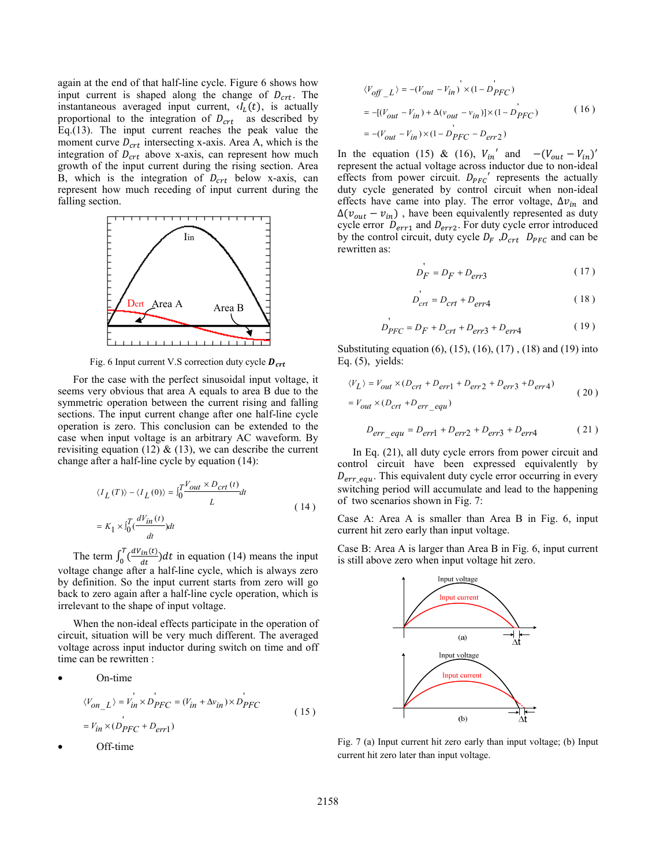again at the end of that half-line cycle. Figure 6 shows how input current is shaped along the change of  $D_{crt}$ . The instantaneous averaged input current,  $d<sub>L</sub>(t)$ , is actually proportional to the integration of  $D_{\text{crt}}$  as described by Eq.(13). The input current reaches the peak value the moment curve  $D_{crt}$  intersecting x-axis. Area A, which is the integration of  $D_{\text{crt}}$  above x-axis, can represent how much growth of the input current during the rising section. Area B, which is the integration of  $D_{\text{crt}}$  below x-axis, can represent how much receding of input current during the falling section.



Fig. 6 Input current V.S correction duty cycle  $\bm{D}_{\bm{crt}}$ 

For the case with the perfect sinusoidal input voltage, it seems very obvious that area A equals to area B due to the symmetric operation between the current rising and falling sections. The input current change after one half-line cycle operation is zero. This conclusion can be extended to the case when input voltage is an arbitrary AC waveform. By revisiting equation (12)  $\&$  (13), we can describe the current change after a half-line cycle by equation (14):

$$
\langle I_L(T) \rangle - \langle I_L(0) \rangle = \int_0^T \frac{V_{out} \times D_{crt}(t)}{L} dt
$$
  
=  $K_1 \times \int_0^T \frac{dV_{in}(t)}{dt} dt$  (14)

The term  $\int_0^T \left(\frac{dV_{in}(t)}{dt}\right)$ dt  $\int_0^T \frac{dV_{in}(t)}{dt} dt$  in equation (14) means the input voltage change after a half-line cycle, which is always zero by definition. So the input current starts from zero will go back to zero again after a half-line cycle operation, which is irrelevant to the shape of input voltage.

When the non-ideal effects participate in the operation of circuit, situation will be very much different. The averaged voltage across input inductor during switch on time and off time can be rewritten :

On-time  
\n
$$
\langle V_{on\_L} \rangle = V_{in} \times D_{PFC} = (V_{in} + \Delta v_{in}) \times D_{PFC}
$$
\n
$$
= V_{in} \times (D_{PFC} + D_{err1})
$$
\n(15)

Off-time

$$
\langle V_{off\_L} \rangle = -(V_{out} - V_{in}) \times (1 - D_{PFC})
$$
  
= -[(V\_{out} - V\_{in}) + \Delta(v\_{out} - v\_{in})] \times (1 - D\_{PFC}) (16)  
= -(V\_{out} - V\_{in}) \times (1 - D\_{PFC} - D\_{err2})

In the equation (15) & (16),  $V_{in}$ <sup>'</sup> and  $-(V_{out} - V_{in})'$ represent the actual voltage across inductor due to non-ideal effects from power circuit.  $D_{PFC}$ ' represents the actually duty cycle generated by control circuit when non-ideal effects have came into play. The error voltage,  $\Delta v_{in}$  and  $\Delta(v_{out} - v_{in})$ , have been equivalently represented as duty cycle error  $D_{err1}$  and  $D_{err2}$ . For duty cycle error introduced by the control circuit, duty cycle  $D_F$ ,  $D_{crt}$   $D_{PFC}$  and can be rewritten as:

$$
D_F = D_F + D_{err3} \tag{17}
$$

$$
D_{crt} = D_{crt} + D_{err4} \tag{18}
$$

$$
D_{PFC} = D_F + D_{crt} + D_{err3} + D_{err4} \tag{19}
$$

Substituting equation (6), (15), (16), (17) , (18) and (19) into Eq.  $(5)$ , yields:

$$
\langle V_L \rangle = V_{out} \times (D_{crt} + D_{err1} + D_{err2} + D_{err3} + D_{err4})
$$
  
=  $V_{out} \times (D_{crt} + D_{err\_equ})$  (20)

$$
D_{err\_equ} = D_{err1} + D_{err2} + D_{err3} + D_{err4}
$$
 (21)

In Eq. (21), all duty cycle errors from power circuit and control circuit have been expressed equivalently by  $D_{err\_equ}$ . This equivalent duty cycle error occurring in every switching period will accumulate and lead to the happening of two scenarios shown in Fig. 7:

Case A: Area A is smaller than Area B in Fig. 6, input current hit zero early than input voltage.

Case B: Area A is larger than Area B in Fig. 6, input current is still above zero when input voltage hit zero.



Fig. 7 (a) Input current hit zero early than input voltage; (b) Input current hit zero later than input voltage.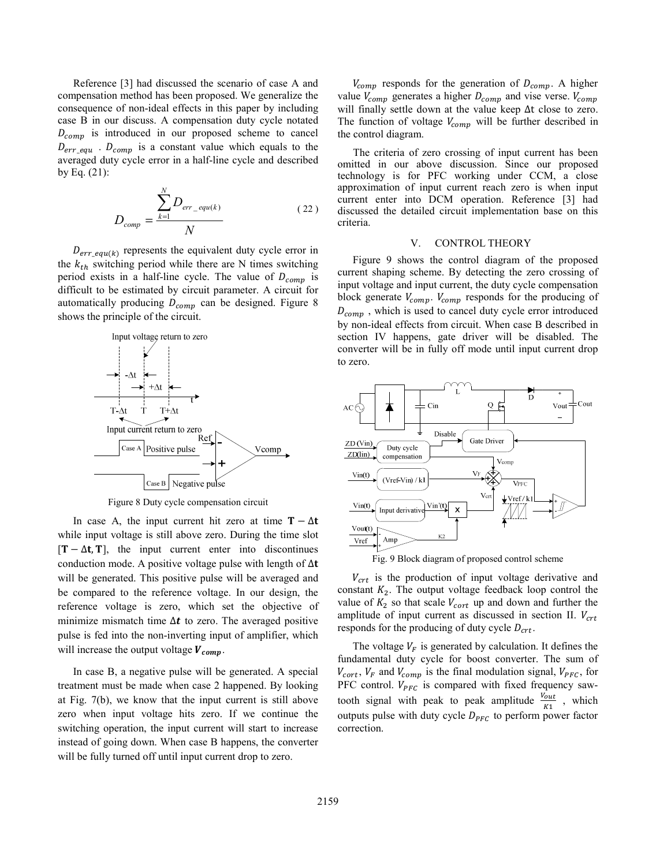Reference [3] had discussed the scenario of case A and compensation method has been proposed. We generalize the consequence of non-ideal effects in this paper by including case B in our discuss. A compensation duty cycle notated  $D_{comp}$  is introduced in our proposed scheme to cancel  $D_{err\_equ}$  .  $D_{comp}$  is a constant value which equals to the averaged duty cycle error in a half-line cycle and described by Eq. (21):

$$
D_{comp} = \frac{\sum_{k=1}^{N} D_{err\_equ(k)}}{N}
$$
 (22)

 $D_{err\_equ(k)}$  represents the equivalent duty cycle error in the  $k_{th}$  switching period while there are N times switching period exists in a half-line cycle. The value of  $D_{comp}$  is difficult to be estimated by circuit parameter. A circuit for automatically producing  $D_{comp}$  can be designed. Figure 8 shows the principle of the circuit.



Figure 8 Duty cycle compensation circuit

In case A, the input current hit zero at time  $T - \Delta t$ while input voltage is still above zero. During the time slot  $[T - \Delta t, T]$ , the input current enter into discontinues conduction mode. A positive voltage pulse with length of  $\Delta t$ will be generated. This positive pulse will be averaged and be compared to the reference voltage. In our design, the reference voltage is zero, which set the objective of minimize mismatch time  $\Delta t$  to zero. The averaged positive pulse is fed into the non-inverting input of amplifier, which will increase the output voltage  $V_{\text{comp}}$ .

In case B, a negative pulse will be generated. A special treatment must be made when case 2 happened. By looking at Fig. 7(b), we know that the input current is still above zero when input voltage hits zero. If we continue the switching operation, the input current will start to increase instead of going down. When case B happens, the converter will be fully turned off until input current drop to zero.

 $V_{\text{comp}}$  responds for the generation of  $D_{\text{comp}}$ . A higher value  $V_{comp}$  generates a higher  $D_{comp}$  and vise verse.  $V_{comp}$ will finally settle down at the value keep ∆t close to zero. The function of voltage  $V_{comp}$  will be further described in the control diagram.

The criteria of zero crossing of input current has been omitted in our above discussion. Since our proposed technology is for PFC working under CCM, a close approximation of input current reach zero is when input current enter into DCM operation. Reference [3] had discussed the detailed circuit implementation base on this criteria.

#### V. CONTROL THEORY

Figure 9 shows the control diagram of the proposed current shaping scheme. By detecting the zero crossing of input voltage and input current, the duty cycle compensation block generate  $V_{comp}$ .  $V_{comp}$  responds for the producing of  $D_{comp}$ , which is used to cancel duty cycle error introduced by non-ideal effects from circuit. When case B described in section IV happens, gate driver will be disabled. The converter will be in fully off mode until input current drop to zero.





 $V_{crt}$  is the production of input voltage derivative and constant  $K_2$ . The output voltage feedback loop control the value of  $K_2$  so that scale  $V_{cort}$  up and down and further the amplitude of input current as discussed in section II.  $V_{crt}$ responds for the producing of duty cycle  $D_{\text{crt}}$ .

The voltage  $V_F$  is generated by calculation. It defines the fundamental duty cycle for boost converter. The sum of  $V_{\text{cort}}$ ,  $V_F$  and  $V_{\text{comp}}$  is the final modulation signal,  $V_{\text{PFC}}$ , for PFC control.  $V_{PFC}$  is compared with fixed frequency sawtooth signal with peak to peak amplitude  $\frac{V_{out}}{K1}$ , which outputs pulse with duty cycle  $D_{PFC}$  to perform power factor correction.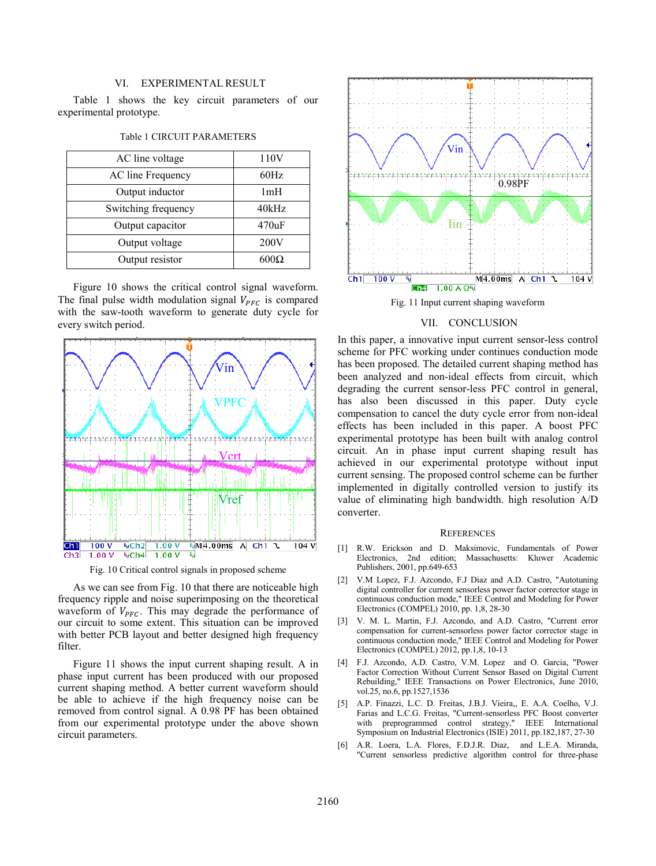### VI. EXPERIMENTAL RESULT

Table 1 shows the key circuit parameters of our experimental prototype.

| AC line voltage     | 110V  |
|---------------------|-------|
| AC line Frequency   | 60Hz  |
| Output inductor     | 1mH   |
| Switching frequency | 40kHz |
| Output capacitor    | 470uF |
| Output voltage      | 200V  |
| Output resistor     | 600Q  |

#### Table 1 CIRCUIT PARAMETERS

Figure 10 shows the critical control signal waveform. The final pulse width modulation signal  $V_{PFC}$  is compared with the saw-tooth waveform to generate duty cycle for every switch period.



Fig. 10 Critical control signals in proposed scheme

As we can see from Fig. 10 that there are noticeable high frequency ripple and noise superimposing on the theoretical waveform of  $V_{PFC}$ . This may degrade the performance of our circuit to some extent. This situation can be improved with better PCB layout and better designed high frequency filter.

Figure 11 shows the input current shaping result. A in phase input current has been produced with our proposed current shaping method. A better current waveform should be able to achieve if the high frequency noise can be removed from control signal. A 0.98 PF has been obtained from our experimental prototype under the above shown circuit parameters.



Fig. 11 Input current shaping waveform

## VII. CONCLUSION

In this paper, a innovative input current sensor-less control scheme for PFC working under continues conduction mode has been proposed. The detailed current shaping method has been analyzed and non-ideal effects from circuit, which degrading the current sensor-less PFC control in general, has also been discussed in this paper. Duty cycle compensation to cancel the duty cycle error from non-ideal effects has been included in this paper. A boost PFC experimental prototype has been built with analog control circuit. An in phase input current shaping result has achieved in our experimental prototype without input current sensing. The proposed control scheme can be further implemented in digitally controlled version to justify its value of eliminating high bandwidth. high resolution A/D converter.

#### **REFERENCES**

- [1] R.W. Erickson and D. Maksimovic, Fundamentals of Power Electronics, 2nd edition; Massachusetts: Kluwer Academic Publishers, 2001, pp.649-653
- [2] V.M Lopez, F.J. Azcondo, F.J Diaz and A.D. Castro, "Autotuning digital controller for current sensorless power factor corrector stage in continuous conduction mode," IEEE Control and Modeling for Power Electronics (COMPEL) 2010, pp. 1,8, 28-30
- [3] V. M. L. Martin, F.J. Azcondo, and A.D. Castro, "Current error compensation for current-sensorless power factor corrector stage in continuous conduction mode," IEEE Control and Modeling for Power Electronics (COMPEL) 2012, pp.1,8, 10-13
- [4] F.J. Azcondo, A.D. Castro, V.M. Lopez and O. Garcia, "Power Factor Correction Without Current Sensor Based on Digital Current Rebuilding," IEEE Transactions on Power Electronics, June 2010, vol.25, no.6, pp.1527,1536
- [5] A.P. Finazzi, L.C. D. Freitas, J.B.J. Vieira,, E. A.A. Coelho, V.J. Farias and L.C.G. Freitas, "Current-sensorless PFC Boost converter with preprogrammed control strategy," IEEE International Symposium on Industrial Electronics (ISIE) 2011, pp.182,187, 27-30
- [6] A.R. Loera, L.A. Flores, F.D.J.R. Diaz, and L.E.A. Miranda, "Current sensorless predictive algorithm control for three-phase